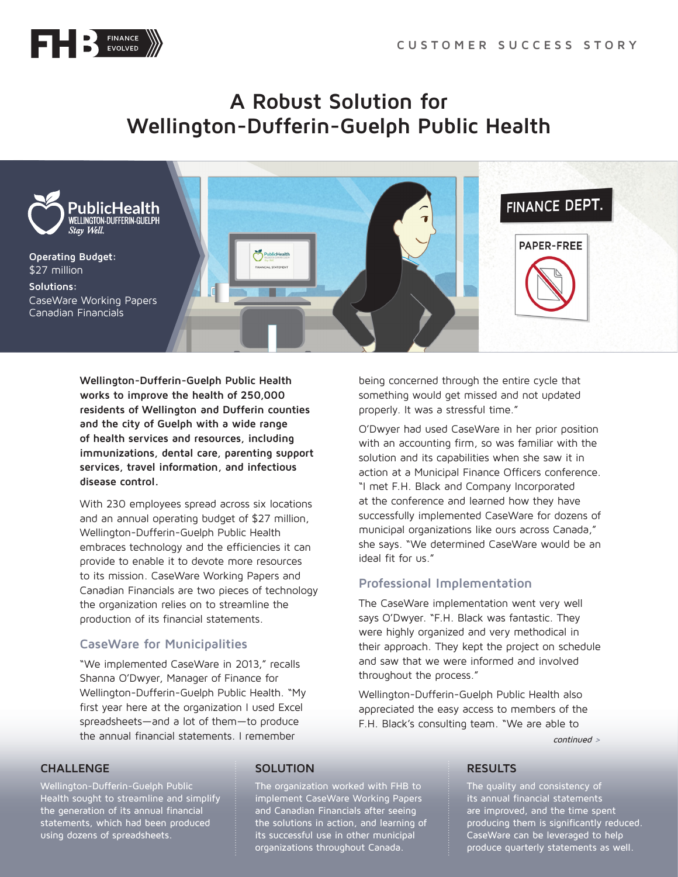

## **A Robust Solution for Wellington-Dufferin-Guelph Public Health**



**Wellington-Dufferin-Guelph Public Health works to improve the health of 250,000 residents of Wellington and Dufferin counties and the city of Guelph with a wide range of health services and resources, including immunizations, dental care, parenting support services, travel information, and infectious disease control.**

With 230 employees spread across six locations and an annual operating budget of \$27 million, Wellington-Dufferin-Guelph Public Health embraces technology and the efficiencies it can provide to enable it to devote more resources to its mission. CaseWare Working Papers and Canadian Financials are two pieces of technology the organization relies on to streamline the production of its financial statements.

### **CaseWare for Municipalities**

"We implemented CaseWare in 2013," recalls Shanna O'Dwyer, Manager of Finance for Wellington-Dufferin-Guelph Public Health. "My first year here at the organization I used Excel spreadsheets—and a lot of them—to produce the annual financial statements. I remember

being concerned through the entire cycle that something would get missed and not updated properly. It was a stressful time."

O'Dwyer had used CaseWare in her prior position with an accounting firm, so was familiar with the solution and its capabilities when she saw it in action at a Municipal Finance Officers conference. "I met F.H. Black and Company Incorporated at the conference and learned how they have successfully implemented CaseWare for dozens of municipal organizations like ours across Canada," she says. "We determined CaseWare would be an ideal fit for us."

### **Professional Implementation**

The CaseWare implementation went very well says O'Dwyer. "F.H. Black was fantastic. They were highly organized and very methodical in their approach. They kept the project on schedule and saw that we were informed and involved throughout the process."

Wellington-Dufferin-Guelph Public Health also appreciated the easy access to members of the F.H. Black's consulting team. "We are able to

continued >

#### **CHALLENGE**

Wellington-Dufferin-Guelph Public Health sought to streamline and simplify the generation of its annual financial statements, which had been produced using dozens of spreadsheets.

#### **SOLUTION**

The organization worked with FHB to implement CaseWare Working Papers and Canadian Financials after seeing the solutions in action, and learning of its successful use in other municipal organizations throughout Canada.

#### **RESULTS**

The quality and consistency of its annual financial statements are improved, and the time spent producing them is significantly reduced. CaseWare can be leveraged to help produce quarterly statements as well.